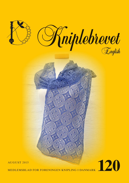

MEDLEMSBLAD FOR FORENINGEN KNIPLING I DANMARK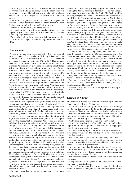We apologize about Skribent mail, which does not work. We are working on finding a solution, but in the mean time you are welcome to use this mail address: redaktoer@knipling-idanmark.dk . Your massages will be forwarded to the right person.

One of our English-translators is moving to England in order to continue her studies there. We thank her for the help she has given us, and wish her good luck in the future.

We are therefore posting following request:

Is it possible for you to help us translate Kniplebrevet to English? If yes, please contact us at this mail address: redaktoer@ knipling-i-danmark.dk

We are also looking for somebody to help our proof reader. If you think you might be able to help, please, contact our editor.

#### **Dear membrs**

30 years are no age to speak of, and still – it is some-what of an achievement. Our association Knipling i Danmark can celebrate its 30 year anniversary this year. The association was indeed founded on September 27th in 1985. That we have come this far, is fantastic, even with a fairly stable amount of members. An anniversary gives time for thinking about things which have happened and things to happen in the future. What the goal for over association is, and what we have to work against, was written down on the founding assembly. Us, members of the board, are striving for living up to this, but there are many things besides, which have to be addressed, and much have happened since the association was founded and the first KNIPLEBREV was published, then known as the ''Gule foreningsblad''. You may read Karen Vontillius' nice article someplace else in this magazine, and her story about Kniplebrevet's history. If you happen to have the first magazine, published in 1985, it is a very nice read and historically exciting, and from a publishers view, to see the different typographic methods used. The technique 'clip and paste' seemed to be the method used in order to get the magazine on its feet. Try to see the development through the years, partly on the graphic side, but also when it comes to editorial work. There have been big changes through the years. The magazine went from black/white through selected colored pages until today, where all pages are in color. In the beginning, there were no colored, only black/white work-sheets with a bit of description. The magazine had then, as now, our members' input on what to print and also on the patterns to be published. It is important for the board, that the members 'color' our association, and that it is you, who contributes with topics, articles, patterns and good ideas. What we today know as Knipleshop, started as'' an offer to our members'', it was later called Knipleservice, and has today gotten a more international sounding name: KNIPLESHOP. And it doesn't stop there, because we have also gotten a homepage, which also have changed its looks over time. The homepage is today our face outward, for people not familiar with the association, and a place to inform about things, has partly been published in Kniplebladet, but also about things which we have not able to bring there, especially if events happen between two publications. We have founded a news-mail group, where one can find different news which may become important between publications of two bulletins. We are also, as the latest, on Facebook. This is a super good, social medium, through which news can be spread fast, not only national, but also international. This gives us some challenges right now, but we are sure that the problems will be solved real soon. We are a known and accepted association internationally, and we have members all over the world, we even have a member in China.

An anniversary has to be celebrated, and so we have

planned to do. We already brought a gift to the ones of you attending the Annual Meeting in March 2015. This was a special gift indeed. It was an aquarelle of a flock of birds along with a pricking, designed by Karen Marie Iversen. The aquarelle pictured ''Sort Sol'', a symbol of our connection to North Slesvig and Tønder, where our association was founded. We bring a new gift to you in this Kniplebrev. The gift is a shawl designed by Sonja Andersen and Susanne Andersen. You may read about where they got the idea on page 18 in this magazine. She chose to give the shawl the name Isabella, as an honor to the crown-prince pair's oldest daughter. We have also had a fantastic nice anniversary-bobbin made, which was such a big success that it was sold out 45 minutes after it was offered at the Annual Meeting. Not everybody got the chance to buy one. We therefore decided to have some more of them made. They have arrived, and all the prepaid ones have been sent off. There are very few of them left, so if you would like one of these special bobbins, please, contact the board soon.

At last, but not the least, a big thank you to all of you, which over the years have contributed to our association and to the magazine, and thank you to all the members for 'holding on' to us. Also, thank you to all past boards, and to the current one, and a big thank you to the editors, both past and current ones. Thank you to all the voluntaries, which both now and at earlier times have contributed with work and ideas for our common association. We all have great love for our association and for making lace, and how beautiful it is that so many have this passion for our cultural inheritance and the trade we enjoy.

See you in September at Viborg Husflidsmesse, and in October to the fairs in Fredericia and Slagelse.

Remember Årets Knipledag, Saturday, August 29th. You can find a list over places where Årets Knipledag is held, in Kniplebrevet no.119, page 29.

We wish you all a nice fall-time with good lace making and lots of inspiration.

#### **Lacefair in Viborg**

The lacefair in Viborg was held on Saturday, April 18th and Sunday, April 19th, the 12th in a row.

As usual, it was something to look forward to. It is always nice to visit the fairs in order to get lots of inspiration, make 'investments' in new materials and meet foreign and new faces.

This time my excitement was a bit bigger than usual, as I this time was participating as a member of the board of Knipling i Danmark. This was my first time doing this.

And what a good experience this turned out to be!

I stood 'on the other side of the table' this time, and had the opportunity to have a good lace-chat with lots of happy people, all sharing my passion for lace.

We started setting up our booth on Friday afternoon, and were ready to welcome the first happy guests to the fair on Saturday morning.

My anxiety was big and the thoughts many: How would it be to stand 'on the other side', would I be able to answer the questions, would I be able to find around in the sales items, and how does the check register work?

I was very anxious when I finally went to bed Friday night.

Saturday morning started already before the fair opened, with the private view of Tinne Hansen's wall- hanging. A nice event and a great start of the day.

You may read about the Private view someplace else in this magazine.

Finely, the doors were opened to the public, and all my worries were brought to shame.

It was a fantastic experience to meet you all, old and new members visiting the fair, and also all the other guests attending.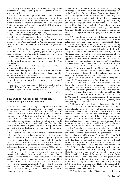It is a very special feeling to be around so many, where everybody is sharing the same passion. The air felt full of creativity and action.

It was a big temptation to get started on lots of neat projects. The booths were spread over the whole school on two floors. The fair takes place in the 'School for Kreative Fritid', and the different stands are placed in different classrooms. This gives the fair an intimate feeling, and at times it is difficult to move around, due to the many guests.

You can buy almost everything to your heart's delight. I, for my part, cannot think about anything missing.

The school had arranged an exhibition of bobbinlace work made by the school's students on the ground floor.

We saw lots of nice lace in the making. Students took turns making lace on 10 different locations. We also had many a nice lace-chat here, and the rooms were filled with laughter and smiles.

The best of all was the positive remarks we got for our work in the association, and I thoroughly enjoyed all the congratulations for having been voted in to the board. This is a position, of which I am both proud and humble.

The week-end gave me the opportunity to meet lots of people I knew from other places, like from classes, other fairs, exhibitions etc.

All in all, it was a wonderful week-end, where mouth, ears and wallet had been hard at work.

When finely coming home (near Ribe) after the fair had ended and our booth were taken down, my head was filled with impressions from the week-end.

It was both impressions from all the wonderful items I had seen and also the visiting with so many people with whom I share an interest.

Even though I was very exhausted after the week-end, I already look forward to the next lace fair in Viborg, which is on every third year, so next time will be in 2018.

*Annette Nielsen*

## **Lace from the Castles of Rosenborg and Amalienborg by Katia Johansen**

Lace has always been a charming and impressive adornment on the Danish kings and queens attire on Rosenborg, from the earliest items on the time of Christian 4. and almost until today. The royal collections on Rosenborg and Amalienborg represent some of the finest royal wear in the world. The collection was founded early, as Frederick 3. (1609-1670, king from 1648) ordered some of his father's and his own wear to be kept 'for ever' due to its historical value. Ever since that time have the kings and queens outfits been kept with great care, first by the castle steward and later by curators of museums and conservators.

A lace collection per se does not exist in the royal museum collections. Every queen has assumingly had their personal supply of lace, both through inheritance, bought and given as gifts. By a queen's death, her attire was usually divided between the ladies in waiting, and it was not before 1881 that a queen in her testament gave some dresses directly to the royal collections. (Rosenborg became a museum in 1833, and was opened to the public in 1838.) Until then, there were almost only clothing which had belonged to kings, that was sent for storage to Rosenborg, mostly right after their death. Queen Caroline Amalie wrote in her testament, that the dress she used for her coronation and her wedding gown should be donated to the Rosenborg collection, due to their historical value, but she changed her mind short before she died, as she wanted to be buried in her bridal gown. Her engagement dress from 1814 – unfortunately without lace - was therefore sent to Rosenborg as a replacement.

Lace can thus first and foremost be studied on the clothing in storage, which represents a rich and well documented side of the Danish and European history from about 1600 and forwards. As no garments are on exhibition in Rosenborg – except Christian 4.'s blood stained clothing, which is considered Icons rather than attire, - are the following things, normally put away in storage, and therefore new to the readers. Besides the clothing, there is a magnitude of portraits of the royal families, painted by the best artists of the day. If time permits (and a good flashlight is on hand), the pictures are outstanding and entertaining resources for studying lace worn in the royal court.

Fig.1-2: An early picture probably of filet lace, edged possibly with free-hand lace, in a portrait of Christian 4.'s son, Ulrik, dated 1615, where the prince was only 4 years old. The king's wear – his robe register, other portraits and stored clothing show, that he took great interest in supporting and promoting Danish textile production, included bobbinlace and silk cloth.

Fig.3-4: A big salmon-colored silk scarf worn by Christian 4th, edged with gold- and silver-lace. The combination of gold and silver was popular during the renaissance, but it is hard to appreciate it today, as both the silver- and gold plated silver – threads mostly have tarnished into a gray tone. The scarf is 65 cm. wide, 212 cm. long and covered with embroidered flowers, insects, worms and other small animals – embroidered in happiness, perhaps by a young princess? There is a narrow border along the edges, and a wide, scalloped lace-edging on each end. There are remains of small floss-silk tassels and metal purls in vivid colors attached to the points of the lace.

Fig.5-6: Others of Christian 4.'s important clothing are of course the blood-stained outfits from 1644, when he was insured in war at sea against the arch-enemy, Sweden. He must himself have ordered the clothing to remain as is on the same day, July 1. He knew that the Swedish king, Gustav Adolf's blood – stained clothing from his death in 1632 had been preserved, and already had a status as a relict in Stockholm. The lace seems to come from North Slesvig , as it was important for Christian 4. to support the bobbin lace industry in this area. All his portraits as a young adult show that he generally wore wide, scalloped lace like these.

Fig.7: This attire of black silk and silk lace, belonged to Frederik 3., Christian 4.'s son and dates back to about 1655-60. It is unfortunately in a very poor condition, and has not been photographed since about 1930, due to this. It is made out of black silk damask covered with wide lace-strips of black silk, and by the cuffs and the edging of the pant legs, are there big bouquets of bows in wide silk ribbons. It might be possible that a future preservation, where the silk is laminated to a support-cloth, could make the clothing suitable again for a mannequin in order to be able to exhibit this garments.

Fig.8-9: A set of a lace jabot and cuffs, belonging to Frederik 3. are also preserved. They are dated to about 1665, about the same time as the little portrait of the king in mother –of- pearl, inlaid in slate (probably a work of Jeremias Hercules). Both king Frederik 3. and queen Sophie Amalie dressed themselves in the last fashions, and used big sums of money on French fashion, materials and accessories. These needle laces have a baroque flower pattern, sewn around small strips of fine linen.

Fig.10: Real needle lace is found on a pair of life-size wax figures of Frederik 3. dated 1680 and of Sophie Amalie from 1670. Her figure was made as a 'live mask', but the figure of him was made after his death. Both figures are wearing fitting attire, incl. fine accessories and needle lace. The queen is wearing what seems to be one of her own dresses, thoroughly refitted for the wax figure. She was in her last years quite heavy, but the wax figure is slim and youthful due to a corset of the time, and the beautiful needle lace cuffs are eye catching on the figure's elegant hand posture.

Fig.11: This little purse, about 10cm. wide, is made out of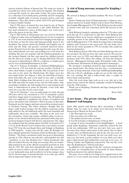narrow, braided ribbons of human hair. The strips are made in eternelle lace about ½cm. wide and sewn together. The braided cord and the tassels are also made of hair. The purse belongs to a collection of ten small purses, probably used for wrapping of small, valuable gifts as jewelry, precious stones, coins and miniatures. They date back to about 1650-1670, and belonged to Queen Sophie Amalie.

Fig.12: This piece of unused lace was sewn by one of Queen Charlotte Amalie's court-dwarfs, a girl called Elschen. The lace, kept attached to a piece of blue paper, was a new year's gift to the queen in the late 1600.

Fig.13: This barbe in Valencienne lace was worn by Frederik 5.'s Queen Louise, born an English princess, for her coronation in 1747. It was worn fastened and loose-hanging from high up in the hair, so that the long ends hang gracefully down to her shoulders. The pattern shows the Danish and English coat of arms and the bride and groom's crowned mirrored monograms. Portraits from the time, showing how she wore the lace, does unfortunately not exist, and nothing else is left from her clothing. She was very popular with the Danish population, as she learned Danish real fast, and raised her children herself, but she died very young, at age 27, during child birth. The lace was given to Rosenborg in 1886 by a collector. A similar piece can be seen in Kunstindustrimuseet in Oslo.

Fig.14-15: Princess Frederikke of Sachsen-Hildburghausen was born in 1755, but both she and her mother, Frederik 5.'s sister, died within a couple of months. This wax portrait of her was sent to her uncle, the Danish king. The figure wear her own small cloths: two diapers, a shirt, an embroidered jacket, lined with pink silk, and a foot muff in lace, plus a swaddle band. Baby clothing from this period is very rare. Her swaddle cloth and cuffs are made of lace, but the little jacket, with, according to fashion, the half length sleeves and closing in the back, is embroidered in point de Dresden, a lace look alike sewn on a very fine woven cotton cloth.

Fig.16-18: Christian 7. wore an outfit made in a style, already 200 years old for his coronation in 1767. It contained a jacket and short, baggy pants in renaissance style. This old fashioned style was supposed to emphasize the picture of tradition and power associated with Christian 4. This is because at that time, Denmark was the biggest and most powerful protestant power in Northern Europe. The whole audience thought that the king's outfit looked strange, but the fashion conscious young king added to the old fashioned outfit, the most beautiful and fashionable, finest lace available. His jabot in the neck over the coronation- cloak's big ermine- studded collar, is sewn together of two identical Brussels lace patterned with a big, symmetrical bouquet framed with flowers and festoons. The edges are scalloped and the joining almost invisible. It measures 41,5 x 33 cm. In the Royal Court's archives have one found a receipt from 1767 from the merchants Hein and Sylingk in Hamburg of 1000 rigsdaler ''wegen einer für Ihr. mayt. die Königin vor dero ankunft gelieferten Garniture Point de Bruxelle zu einer Toilette.'' The king's coronation outfit was given to Rosenborg already in 1784, when he was still alive, and included also this ''garniture of very fine Brabant lace'' which documents that this was indeed the lace the king was wearing. They are beautifully painted in one of the official coronation portraits, by Jens Juel in 1789. The artist had undoubtedly had the coronation outfit on loan in order to get the details right. Christian 7.was a very fashionable man and travelled a lot in his younger days, but he showed signs of mental disorder at an early age, which had an important impact on his reign.

## **A visit of Køng museum, arranged by Knipling i Danmark.**

We arrived in Køng in beautiful sunshine. We were 15 participants.

Hanne Tommerup, head of Køng museum's volunteer association, showed us around. Hanne told us about Niels Ryberg, who bought Øbjerggaard in 1774. Niels Rybjerg was interested in charity work, and was concerned about the poverty in the area.

Niels Rybjerg founded a spinning school in 1778, where girls from the age of 4, could learn to spin flax. Niels Rybjerg also founded a linen–wear factory, which gave occupation to every workable person in the district. He founded a linen weaving mill on Øbjerggaard in 1778, which developed into a blooming industry with contacts to the royal court. He also built a hospital on the estate grounds in 1793, for people who could not fend for themselves.

Niels Rybjerg died in 1804. His son Johan Rybjerg took over the premises, but did not have the same success. The government took over in 1820, and different owners managed the premises until 1925, where the selling- off from the property started. Øbjerggaard belongs under Rosenfeldt today. (You can find more information on Køng museum's homepage.)

We attended a workshop, hosted by Inge Lindegaard, after a nice lunch-brake. The theme was free lace, a reconstruction of a lace in Stege museum, of the type Guldborgsundsknipling. This was a bit of a challenge, as pins are set on the sides only, but very exciting. We had a coffee-brake after a couple of hour's deep concentration.

After the work shop, Inge took us on a car ride up to the manor house and by the church, originally a medieval building from the 1200 century.

Thank you to Knipling i Danmark and Inge Lindegaard for a wonderful day.

*Mona Nøhr.*

## **A new home – The private viewing of Tinne Hansen's wall hanging**

April 18th started with Kirsten Skov presenting a 'Royal Kinder Egg' for some of us which were interested and had showed up at Skolen for Kreativ Fritid.

- 1: The flowergirl was ready
- 2: The red carpet was rolled out
- 3: The golden scissors were on hand
- It was bid welcome to Kniplemesse I Viborg 2015.

A group of active lacemakers from Kniplebølgen – a local group under Knipling i Danmark's umbrella, started the fair in the last millennium. 1989 was the fair's first year, and it has since then always taken place in the school, first on Spurvevejen, then on Håndværkervej and in the two last years on Industrivej 13. In the beginning, the fair was held every second year, but lately a good rotation of every third year takes place, which means that Jydland has a lace fair every year – in Viborg, Tønder and Hjallerup respectively. This was the 12.th time the Kniplemesse i Viborg took place.

In addition to the opening of the fair, a private viewing also took place as a beautiful piece of lacework by Tinne Hansen had been placed at the schools disposal.

The piece of art could not be hung in its original form in the school, so it was tossed and turned, discussed, measured and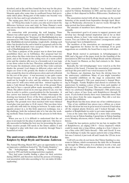sketched, and at the end they found the best way for the piece to be presented. Different means in order for the art piece to blossom again after some time in cardboard boxes had previously taken place. Being part of this makes one become very close to the lace and to get attached to it.

The saying goes, that if you can count to 4, you can make lace – in Viborg they make it easier, you only need to know the difference between cross and twist. In Tinne Hansen's work one can see that there are many different ways to make crosses and twists.

In connection with presenting the wall hanging, Tinne Hansen was called upon to speak, and she told that a competition of adornments for 'Storstuen' in Husflidshøjskolen was announced in 1986. Tinne and Birthe Johansen from Nordvestjysk Husflidskreds started making rough drafts , helping each other, but decided in the end to hand in a proposal each for the end wall. Both proposals were accepted, Tinne's for the end wall of Husflidshøjskolen's 'Storstue'.

For Tinne a purpose of the project was to show how many possibilities there are in bobbinlace. Her proposal had two parts, where the blue-violet door in the wall was the connecting point, and as the beams in the ceiling were of a warm yellow color and the window sills were in a brownish red, it was logic to use those colors in the lace. Therefore, unbleached and yellow became the dominant colors and the blue-violet contrasts shades the ground. Leaf shapes in different colors and techniques are sewn to the ground, the shades of yellows concentrate around the door in yellow/green colors and red-yellowish for the rest of the piece – it was necessary to use quite course thread because of the size of the ground .The coarse linen could not be bought in color, and the solution was therefore linen yarn 6/1 with extra twists and then twisted together to make a 3-ply thread. Because of the size of the ground, Tinne also had to have a special pillow made measuring a width of 140cm. The pillow stood on its own legs about 62 cm. over the floor in order to archive a good position for the lacemaker. A lace carton was fastened around the bolster whereupon the drawing was fastened. Every of the three original parts of the ground were made in three sections, which were sewn/laced together. The grounds were then starched with water thinned wood glue (one part glue to 10 dl. water). This was done twice on each side with time for drying in between. To make such a gigantic project in a, in this field, unproven technique, was a big challenge, both the technical side of it, but also the working methods. Tinne learned much in the process in both those areas.

When you see it, it is difficult to understand that the art piece is not made for the place it adorns right now. One has really succeeded in finding the best way for presenting the piece. Many creative people will surely in the future admire it and be inspired to play with their own creativity through Tinne's beautiful art work.

### **The anniversary exhibition 2015 of de Fynske Kniplere by Birgit Bryde and Susanne Andersen**

The Annual Meeting, March 2015, gave an opportunity to visit an impressive exhibition hosted by ''De Fynske Kniplere''.

The "Arbejdsgruppe under Knipling i Danmark" was started in 1992 and held meetings/activities regularly.

They had some trouble finding a place for their activities during 2002/03, and therefore started the process of forming a real association with rules according to 'lov om støtte til folkeopplysning'.

The association ''Fynske Kniplere'' was founded and accepted by Odense Kommune in 2003, and has since then had a place to their disposal in Bolbro Ældrecenter, Stadionvej in Odense.

The association started with all day meetings on the second Saturday of the month from September through April. Meetings on Wednesday afternoons in uneven weeks through the same period, has been added later.

The amounts of members have differed between 40 and 50 annually.

The association's goal is of course to support, promote and develop lace through mutual inspiration and as far as their economy allows, to host 1-day work shops once or twice per season. You can follow the association's arrangements under 'local groups' here in Kniplebrevet.

The members of the association are encouraged to come with suggestions for themes for the workshops. If no good suggestions are available, the board has to step in with ideas.

Birgit Bryde started to participate in Arbejdsgruppen in 2000, and a big part of the paper work for the founding of the association in 2003 was done by Birgit Bryde and the chairman of the board, Lis Hansen, as they had contacts to the Kommune's system.

Basically, the 'old Arbejdsgruppe' were voted in as the first members of the board. I became the association's accountant, and kept this post until I was voted treasurer in 2010.

Lis Hansen, our chairman, has been the driving force for the anniversary exhibitions. Many of you might remember the beautiful exhibition on the stage in connection with Knipling i Danmark's 25th year anniversary's Annual Meeting in Fraugde. Fynske Kniplere had chosen to celebrate the anniversary by making a piece of lace from each number of Kniplebrevet through 25 years. This was continued this year, where we celebrated Knipling i Danmark's 30th anniversary, and had a piece of lace from each Kniplebrevet through 30 years. If you looked closely, there were sometimes more than one lace piece from the same magazine. They did a real nice job with this exhibition.

Birgit Bryde has this story about one of her exhibited pieces

''One of my exhibited lace pieces was a ribbon on a straw hat. My old straw hat was in great need of renewal (I had taken off the original plastic flowers), and I looked through a big number of Kniplebladet in order to get some inspiration.

I was at the same time looking for a more time consuming work for use in Tidens Samling. I spend time in Tidens Samling every Monday afternoon, where I make lace and tell about its history.

I found the lace-pattern, perfect for my hat, in number 106 of Kniplebrevet, an edging (106 b - Greec inspired?) which could be made into a long ribbon, ending in a bow. I chose to use a blue color (60/2 linen thread) – blue and Greek! It was a fun challenge to make the square pattern into a long ribbon, but once I started, it just took off and I made the 120 cm. in no time.

I will tell you who do not know, that Tidens Samling is a museum in Odense, which reconstructs the daily life in Denmark up through the 20th century. It is absolutely worth a visit, and why not on a Monday afternoon, where you can also meet Birgit Bryde.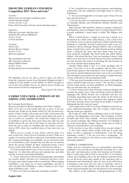## **FROM THE GERMAN CONGRESS Competition 2015 ''Door and Gate''**

1st prize: Mysterious way through a sandstone gate Christel Dargel, Erfurt 20 cm x 16 cm x 2 cm Fancy cloth, horsehair, thread, cotton and tissue paper

2nd prize: Falls into the house with the door Erdmute Wesenberg, Mühlheim 30 cm x 28 cm Cotton and linen

3rd prize: Porta Caeli Bettina Renn, Cologne 20 cm x 13 cm Silk and angelhair

The attendances favorite: The Gateway to Heaven Margit Müller,Erfurt 16 cm x 14 cm Sewing thread and cotton/synthetic

We apologize, but we are, due to lack of space, not able to bring the promised report from Deutsche Klöppelverband 's congress in this number of our bulletin. It will be brought to you in the next number, but we are glad at least to bring you some pictures from the congress now.

*Kind regards, The Editors*

## **ULRIKE VOELCKER, A PERSON OF MY LIKING AND ADMIRATION**

#### By Veslemøy Bech-Nielsen

Pictures provided by Renate Hawkins and Ulrike Voelcker Most of us have at some point had one or more of the numerous lace books in our hands, written by the German lacemaker, Ulrike Voelcker. Her name was Ulrike Löhr before she married, so her earlier books can be found under this name. I am, of course, no exception - her books have helped me out of problems or given me ideas more than once. She has also hosted classes all over the world. Some of you have met her when she gave a class on Chantilly after the Tønder Lacefestival in 2013, where her excellent pieces of lace also were on display.

When you see a name or hear about a person often, it is nice to meet her. I have been so fortunate to meet Ulrike on a couple of occasions, and she is indeed an extraordinary person. Her energy, knowledge and capability are an enormous asset for us lacemakers, and I assume that you, like me, are curious about the person behind all these wonderful books. I have been in touch with Ulrike, and this is what she has told me:

V: I cannot think about a type of lace you have not 'had your fingers in'. At what time did you start making lace, and what was the reason for choosing bobbinlace?

U: I have always been interested in handcrafts, and besides my creative mind, I am also very structured and have a love for logic and technical approaches to problems. When making bobbinlace, I can make use of .these capabilities, and this is why I decided that bobbinlace is what I wanted to do. I have made bobbinlace since 1978.

V: Have you taken an education in design or similar?

U: No, I actually have an education in garden- and landscape architecture, but am completely self-taught when it comes to bobbinlace.

V: You are knowledgeable of so many types of lace. Do you have any preferences?

U: Yes, my favorites are modernized point ground laces such as Chantilly, Blonde and Polychrome Blonde, Mechlin and Valenciennes.

 But I also like 'Rib and Roll', which is a mixture of Honiton and Duchesse, and a technique I have developed myself. I have recently published a book about it called 'Mit Rippen und Rolle'.

When I visited France a couple of years ago, I found, on a fleamarked in a little town called Barjac, a lace I had never seen before. It was worked completely in black, and had some similarity to Chantilly. Nobody I asked knew what it was, so I decided to call the technique 'Barjac Ombrée' due to the place where I found them, and to the dark threads used for making them. I analyzed the piece and also made some new patterns using the technique. My latest book, just called 'Barjac Ombée' tells about this lace. I am very fascinated about it and find it even more fun to do than the previous laces mentioned, not only because the result is so pleasing, but also because of the lovely rhythm when making them.

Another thing which I love, is to draw prickings and to teach. I even love to sit at the computer and see how a new book slowly appears. And sometimes I love to make a piece of lace just for myself, which means that I can work on it without these thoughts on my mind: how am I going to explain this part or that connection to the lacemaking world!

V: The way most lacemakers know your name, is through the many excellent books you have written. Do you have a count on how many books you have published, in which languages they are and what they are all about?

U: I have written more than 30 books, mostly in English and German. In earlier years I often had them written in different languages, like Dutch, French, one in Spanish, and also one in Danish, depending upon what the theme of the book was. Some books have also been translated into Japanese, which was funny, because when I got them in my hands, I could not distinguish the title from my name!

I have limited my books to German /English for the last ten years. Additional languages take lots of space, which means that the books get expensive.

My books are either about techniques, such as the Torchon triology, 'The Beginning of the End', 'The Grammar of Point Ground 'and 'Viele Gute Gründe'. Or they contain patterns of a certain technique, like 'Schwartzarbeiten' for Chantilly or the book about Barjac Ombée. These books may be with or without an introduction to the technique.

V: Do you have a base, like a studio where you give classes? U: No, I give classes where people want me to teach and where we have a language to communicate. I am 'the flying bobbinlace teacher'! I do not even have a homepage. I'd rather make a pricking or two than to worry about keeping a homepage updated!

#### ULRIKE'S EXHIBITIONS:

Ulrike and her associates host an extraordinary interesting exhibition every second year, in Bochum, Germany. It is a 'one day only', and takes place on the first Saturday in November with a 1 in the front, like in 2014, it was on Nov. 15. It is held in a three story building, where she has displays, demonstrations etc. on all levels, good sales stands in the basement and refreshments and homebaked! cakes for sale on the third floor. Lacemakers come from all over, also in 'busloads', and it is a crowded place in the middle of the day! But, with so much beauty and good quality lace, the big interest is not surprising.

The address of the exhibition is: Bergbaumuseum 37, Bo-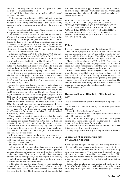chum, and the Bergbaumuseum itself - for spouses to spend their time – is just across the road.

I will let Ulrike tell you about her thoughts and background for her exhibitions:

We hosted our first exhibition in 2008, and last November was our fourth time. Besides special exhibitors and exhibitions, we have a theme every time, and special projects, where my lacegroups only or lacemakers from all over the world contribute.

The first exhibition had the theme, 'Lace teachers from our area present themselves' and 'Church Lace'.

The second in 2010: 'Lacemakers unknown to the public'. We wanted to expose lacemakers, unknown to the world because they do not design, but 'just make lace'. We wanted to display the high level some of these lacemakers work on and the amazing techniques they are able to do. Sonja Klenke and Ursel Lossin alone filled a whole hall, and they rarely work with thread thicker than 80/2 cotton! I think, it shocked them self to see it all on walls and screens!

Exhibition no. three in 2012 had the theme 'Art nouveau' and no. four in 2014, 'Schwarzes Gold' (Black Gold).

My next exhibition will be on November 12th in 2016, and one of the big special exhibitions will be 'Handfans'.

I always have a project for modern designers. In 2014 it was called: 'Nocturno, lace with music'. We listened to music and made designs inspired by what we listened to. The name of a similar theme for 2016, will be 'Stepping out of the fog'.

Then there are also projects, where a group designs and whether makes the projects themselves or lets others make them. 'Black Gold' and 'Grüne Schienen im Rost'(made for the German Congress in Hattingen) are projects from 2014, developed in my classes.

During the year, I also launch real big projects, where lots of lacemakers from many countries are involved. As the single pieces come in from the different lacemakers around the world, they are assembled to one big 'picture'. Some of you might have seen some of, or the whole 'poppy project' for the 2012 exhibition where lacemakers from 14 counties contributed. We also had a handkerchief project for 2012, and we had LOTS of wonderful handkies! We made butterflies in 2010, 950 of them, which were sold to support breast cancer. In 2014, it was 'Sternengold' (Stargold). I am always stunned by where the project-parts come from, and how many participants we get. (The patterns for the stars are published in a folder, called: '6 Sterne' by Ulrike Voelcker)

When I start a project, it is important to me, that the people working on it, learn something doing it, or that they, to a certain degree, can express themselves in the project. It is also important for me, that everyone, after ending a project, can use their own contribution in their own way. My goal is to show, that a simple thing, like a star, will rise to a different level when presented in this fashion, so that a simple Christmas decoration turns into a piece of art.

V: I know that a person cannot have the knowledge and be as all-embracing as Ulrike is, without being born with this gift, but I could not resist asking her:

Are you a curious person?

She answered me like this:

U: I am curious, but not nosy. I can keep secrets forever, but I am curious about life, what drives and motivates people. I am very interested in technology and am from top to bottom, really an engineer. I love nature, especially plants and many animals. But, as many people, I do not respect them the way I should: I have about 300 potted plants, even though I know, they would rather live someplace else!

V: She also tells me that connections between people and human relations are not her strongest side – but she must do something right – just look at all the 444 stars worked all over the world for the 'Star Gold' project and all the people that

worked so hard on the 'Poppy' project. To me, this is a wonderful symbol of good human relationship and a networking at a national as well as an international level, which we as lacemakers can be proud of!

ULRIKE'S NEXT EXHIBITION WILL BE ON NOVEMBER 12TH IN 2016, AND ONE OF HER SPECIAL EXHIBITIONS WILL BE 'HANDFANS'. IF YOU HAVE MADE A FAN OR A FANBLADE, AND WOULD LIKE TO BE PART OF THIS EXHIBITION, PLEASE SEND A PICTURE OF YOUR WORK TO: ulrikevoelcker@yahoo.de SHE WILL BE DELIGHTED TO HEAR FROM YOU!

### **Pillow**

Idea, design and execution: Lone Mankof Jensen, Haslev

We started a project in four parts in Kniplebrevet no.118, and this magazine gives you part no.3 of the four. The last part will be published later this year. You will not be able to see how the project turns out before all four parts are made.

Materials: Linen thread no.35/2 or 28/2. The pieces are numbered 1 through 13, and the project is worked in numeral order. 10 pairs of bobbins are used for the parts 1-4, 9 pairs are used for parts 5-12 and 8 pairs are used for part 13.

Start: The work sheet and pricking show you where to start, where bobbins are added, and where they are taken out. Follow the direction of the arrow. Every part is started and ended before beginning a new part of the pricking. The parts are connected through sewings as new parts are added on. The marked twists are used throughout the work. A twist is made every time a pair leaves a linen stitch area. See no.5

Finish: As you prefer.

## **Reconstruction of Blonde by Ellen Lund no. 1274**

This is a reconstruction given to Foreningen Knipling i Danmark.

It is reconstructed/interpreted by: Anne Scheby-Pedersen, Hemmet

Execution: Birthe Pedersen, Odense C

Materials: The ribbon and the ring are both worked with 18 pairs of linen thread no. 40/2

Start: Use a straight setting-up for the ribbon. A diagonal setting-up as shown with a line on both the work sheet and the round pricking, is best used for the doily.

Remember to twist the worker around the pin. The shown twists are used throughout the work.

Ending: Magic threads or any finishing suitable for this lace.

### **A creation of an anniversary gift by Susanne Andersen**

When I started doing bobbinlace, I was wondering from where all the capable people making patterns, got their inspiration.

A visit with Sonja Andersen quite early in our friendship gave me a good answer. ''Have you ever thought about, how nice your carpet pattern would be if you made it in lace?'' No, eh, I had not, but this made me see things with different eyes when I am out in the nature, for a walk through town, visit old churches etc.

I also ended up taking an extra napkin with me home from Jensens Bøfhus in Århus once, as I had never seen the pattern of the napkin's edge before – to my daughter's great amusement.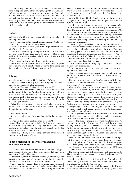When visiting Sonia in Ikast on summer vacations, we always end up using some of the time playing with dots and lines, and we end up with a pattern or two every time. Our topic this time was the pattern on Jensens' napkin. We found out real fast, that this was something very special, but how do we make people understand that it is so special? Well, we use it for Kniplebrevet's anniversary gift to all its members. A special gift for special people.

### **Isabella**

Kniplebrevet's 30 year anniversary gift to the members of Knipling I Danmark.

Idea, design: Sonja Andersen, Ikast and Susanne Andersen Execution: Lone Mankof Jensen, Haslev

Materials: 86 pairs of Lace yarn from Drops. This yarn contains 70% baby Alpaca and 30% silk.

Start: Start the shawl by setting-up of 1 pair in the left corner. Start with 8 open edge pairs. 2 pairs are added on the inside until the width is reached in both corners. 1 pair is added in each corner, see work sheet.

The marked twists are valid throughout the work.

Finish. The pairs are taken out as they were added. A good way is to finish with braids, which are sewn down along the linen stitch edge. Or you finish the way you wish.

### **Ribbon**

Idea, design and execution: Hella Jacobsen, Gråsten

The idea comes from a project that Knipling i Danmark made for our Earthball a few years ago.

Materials: 26 pairs of Bockens linen thread no.60/2

Start: Set up at the point of the lace. The pairs are added on the inside of the edge forming the point until the width is reached. The marked twists are worked throughout the lace. The straight part of the lace can be copied and added to the pricking by the report-mark, in order to make the ribbon in the length you choose.

Finish: The pairs are taken out as added. Make a braid with the last pairs or make the finish look like the start by sewing the braid down on the back.

Idea for the ribbon.

It is also possible to make a handkerchief in the same pattern.

Materials: 26 pairs of Bockens linen thread 60/2.

Start: Make the beginning suitable for how you choose to finish off. You may make a sewing edge on one side, which needs an additional pair, and the inside edge may be worked in whole stitch instead of linen stitch.

Finish: A good way is to use magic threads, or the method you prefer for this type of lace.

## **''I am a member of ''the yellow magazine'' by Karen Vontillius**

This is how a member described herself a few years ago, perhaps because it told more than when saying that she was a member of Knipling i Danmark.

The reason is, that Kniplebrevet ,with its yellow cover, is the magazine for members of Foreningen Knipling i Danmark, and the magazine is actually older than the association.

There were lace ladies which were more than interested in drawing attention to this wonderful trade, who started everything in 1985. Tinne Hansen, Vibeke Ervø and Grethe Theilgaard wanted to make a bulletin where one could make announcements etc. about lace from everywhere. The teachers had their own magazine in Kniplelauget, but this should be for all lace makers.

Vibeke Ervø and Grethe Theilgaard were the ones who brought it from thought to deed, and Kniplebrevet no.1 was published in June 1985.

Kniplebrevet no.1 was a cut, pasted and photo copied bulletin. Kniplebrevet no.2 and onwards was printed by Ballerup Tryk. Bulletin no.2, which was published in November 1985, reported on the founding of a General Meeting and with that also information on board members for Knipling i Danmark. Kniplebrevet has ever since been used for announcing the Annual Meeting including the General Meeting and the following report on the meeting.

It has through the years been continuous themes in the magazine: pattern pages, technique pages, articles from travels and articles about bobbinlace from all over the world. There are children pages and there have been sections from Bonniers Håndarbejdsleksikon concerning lace (see plan over this at the end of the article). When internet use became more and more frequent, we started a page with information on good homepages about lace, Kniplecaféen.

It was essential always to be up to par so members could get all necessary information.

Of the greatest importance have the pattern pages and Tønderrubrikken been.

Most magazines have of course contained something about-Tønderlace, which Astrid Elton Hansen did provide through many years.

The local groups came on the bandwagon from Kniplebrevet no.5, and the first ones were Århus Amt v/Anna Hadsund and Odense v/Jytte Nielsen.

Most members look up the pattern pages first as they want to see if there is something to their liking. No doubt, the pattern pages were most important in the first many years, as there were not many fairs and pattern providers then. A group, Idepigerne, existed for many years, where some tow-holders formed pattern-making groups around in Denmark. It was an honor to have a pattern published in Kniplebrevet, as it gave a feeling of acceptance and the pattern was seen by many.

Everything has its time, and things changes fast now a days. Designudvalget, which came with new ideas to Kniplinggervice made an end to Idepigerne.

Another permanent thing in Kniplebrevet is the Christmas card, which every year is designed by a member and sent out to all members with the November edition.

One of the biggest changes was when Kniplebrevet no.41 came out with a colored front page. It seemed the world was coming to an end, but alas, soon came also colored work sheets for the pattern pages and colored pictures of lace. Pretty soon we had many colored pictures, and magazine no. 79 marked the end to thinking about what to make in black and white and what to use colors for. We had a ball.

Even though there have been lots of little changes throughout the years, some paragraphs have become permanent in every publication: Course calendars, Book reviews, pages where local groups announce their arrangements, Children's pages showed up, where many of the patterns until 2012 were provided by the lace ladies from Sejs.

The pattern pages had its first colored work sheet in no. 45. These pages have also changed, as pattern drawings on the PC have taken over.

Kniplebrevet has had a tuff time with the Post delivery. In the beginning it was sent out with name, membership number and address on the back. That was easy.

Later it was also possible to send the magazine in this way, even though the pattern page became a lose page inside the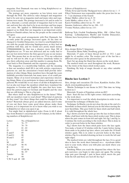magazine. Post Danmark was sure to bring Kniplebrevet secure to its receivers.

The postage got more expensive as less letters were sent through the Post. The delivery rules changed and magazines had to be sent out as magazine-mail and many rules and regulations were made. The postage increased a lot and in order to get a discount, a certain amount of magazines had to be sent out, and now they also had to be in an envelope and lose pages cost extra. We applied to Biblioteksstyrelsen for financial support as we think that our magazine is an important contribution to Danish culture, but no, the people on the counsel did not agree.

We got some good arrangements with Post Danmark, but at some point the postage increased again. At the time we changed to Grafisk Datacenter, we tried to send Kniplebrevet out with the people delivering Søndagsavisen, as they had no problem with that, and we would save pretty much money. UHhhhhhhhhhh ha, that was a disaster, more than 300 of Kniplebrevet no. 79 was not delivered and we really had to put our foot down before the firm agreed to pay us our money back. This means that we do not have no. 79 in our collection and we will not be able to get it before somebody wishes to give their collection away and this number is among them. We went back to Post Danmark and the expensive postage.

The magazine is a membership bulletin, and the meaning is that our members shall fill it out with articles, experiences, patterns etc. and the association's board shall provide information of other things. Many members have through the years faithfully provided materials, but many more of us could participate. Many of us travel nowadays and experience interesting things. Many of us participate in classes and make our own patterns. We would like to see more of all this in Kniplebrevet. Let us also not forget the members which have translated the magazine to German and English, the ones that have translated the pattern pages to German and English and the ones that are still doing it. This is a big task.

But where shall we take Kniplebrevet in the future? What will our members want to read about? What kind of patterns do they want? Are there things that could be changed for the better? Renewals always gives an added interest, and if some of you out there have some good ideas, please make them known, as it is important for us to know what you wish to see in Kliplebrevet when you open it up.

You might find, in alphabetical order, From A till Z about lace from Bonnier's encyclopedia of 20 volumes, in the following numbers of Kniplebrevet:

| Letter:            | No. of Kniplebrevet |
|--------------------|---------------------|
| А                  | 76 - 77             |
| В                  | 78 - 79             |
| C                  | 81 - 83             |
| D                  | 83 - 84             |
| $E$ and $F$        | 85                  |
| F and G            | 86                  |
| H and I            | 87                  |
| L                  | 88                  |
| M                  | 89                  |
| N, O and P         | $90 - 91$           |
| R                  | 92                  |
| S                  | 93 till 96          |
| T                  | 96 - 97             |
| Tønder             | 98                  |
| V                  | 99                  |
| $V, W, Y$ and $AE$ | 100                 |

Editors of Kniplebrevet:

Vibeke Ervø and Grethe Theilgaard were editors for no.  $1 - 5$ Ellen Christensen was responsible under the press law for no.  $6 - 7$  (as chairman of the board) Holger Møller, editor for no. 8 -32 Lissie Møller, editor of no. 31 – 73

Karen Vontillius, editor for no. 74 – 105 Susanne Andersen, editor for no. 106 – 113

Yvonne Nielsen, editor for no. 114 –

Ballerup Tryk, Grafisk Totalløsning Kbhv, SM – Offset Tryk, Kastrup, Lollandsposten, Maribo and Grafisk Datacenter, Odense, have been printers of Kniplebrevet.

### **Doily no.2**

Idea, design: Britta V Jørgensen

Execution: Mona Nøhr, Nordborg, gråsten

Materials: 27 pairs of linen thread no.28/2 or 35/2. 1 pair might be of another color. The worker pair of the fan has a different color (gray) in the pictured lace.

Start: Set up along the black line shown on the work sheet.

The marked twists are used throughout the work. Remember the twists of the linen-stitch worker pairs.

Finishing: By help of magic threads or any other suitable endings.

#### **Binche lace Lection 3**

Idea, design and execution: Els Goor, Kantklos Atelier, Elisabeth, www.kantklosatelier.nl

'Binche Technique'is our theme in 2015. This time we bring lection no.3.

Materials: 36 pairs of Egyptian cotton no.80/2

Start: Start the lace in the right corner. Add pairs according to the work sheet.

It is important to read the whole description in order to understand the technique of Binche lace.

Technique: In Binche you do not close the pin at the end of a Snowflake in linen stitch. Instead you do this when starting the next Snowflake. This goes both for linen stitch and half stitch. It is valid throughout the whole lace.

Fig.1 shows you how the pairs go into the lace in linen stitch. Make a half knot with the linen stitch worker pair. This is done when the pair comes in from left and right. See fig.1 and fig.1a. Continue the work according to the work sheet. This is done in order to prevent holes in the linen stitches.

Fig.2 shows how the linen stitch pairs leave the lace again. You make a braid of 10 stitches with the 2 pairs before laying them aside to be picked up later, where you undo the 10 braid stitches again. This is in order to prevent holes in the linen stitches. Fig.4 is a detailed drawing on how to work the left and right edges.

The marked twists are valid throughout the lace. It is a good idea to have the work sheet fastened on a styrofoam tablet next to your work, where you with pins can mark where you are in the lace.

Finishing: When you reach the diagonal line where the lace gets narrower, you begin to take pairs out again. The sewing edge pair goes through 1 pair in linen stitch, meets the pair from the left and those are tied off. See fig.3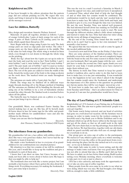### **Kniplebrevet no.119c**

It has been brought to the editors attention that the pattern page did not contain pricking no.119c. We regret this very much, and bring it instead in this magazine. We thank you for all the messages recieved.

## **Lace for children, Butterfly**

Idea, design and execution: Annette Nielsen, Jernved

Materials: 24 pairs all together, divided as follows: 5 pairs of orange Lizbeth plus 3 pairs of dark orange for each of the wings. 8 pairs of black Lizbeth no.20 (tatting yarn) for the body, which equals linen thread no. 28/2.

Start: Begin with the wings, using 8 pairs for each. The dark orange pairs are used as edge-pairs and worker. The other 5 orange pairs are the linen stitch passives in the middle. This is the same for both wings. The whole wing is worked in linen stitch, even though it is not drawn in through the whole wing on the pricking.

 Body: See fig.1 about how the 4 pairs are set up in order to start the body and read the text to fig.1 Twist bobbin 1 and 2, twist bobbin 3 and 4, twist bobbin 5 and 6 and twist bobbin 7 and 8. The pair made out of bobbin 7 and 8 is used as worker pair. Make a half stitch towards left and then follow the work sheet. The rest of the pairs are added to form the width of the body. Attach the worker pair of the body to the wings as shown on the work sheet. The marked twists are made throughout the work.

The antennas are made with a 2-pair plait. See fig.2

Finish: The wings may be finished off in different ways: magic threads, knotting off or the Bruges method of finishing off. The antennas are finished off by bundling the threads and using one of the bobbins to tie a row of buttonhole stitches around the other threads. The finished work is starched before taken off the pillow.

The butterfly may be framed, sewn on a pillow or a bag or you can just hang it up in a thread.

Our grandchild, Marie, was confirmed Easter Sunday. She started making lace at age six. She has, all by herself, made 66 horse shoes in lace for name tags for the table, and grandmother made ribbons for candleholders/ vases and also the ribbons for the flowers.

I hope you can use this for Kniplebladet.

*Sincerely, Jette Thonsen, Tøndervej 14, Vedsted, 6500 Vojens*

### **The inheritance from my grandmother.**

My grandmother left me a lace pillow with utilities when she died. She was a very good lace maker, but I never had the opportunity to learn it from her.

She made a nice bookmark in lace to everyone of us grandchildren for our confirmations (see attached picture)

My situation is so that two cousins of me will be confirmed this year, and I would like to keep up the tradition and give a bookmark to each of them also.

I know that I am short on time, but I have, because of my study, not been able to worry about it before now. My hope is that you might be able to help me?

The bookmark does not look like a starter project, but I am normally a fast learner, when I have gotten the idea about how things work. Everything necessary for making the bookmark, I have, just some help is needed ;)

*Sincerely, Trine*

This was the text in a mail I received a Saturday in March. I found the appeal very nice, and could not leave it unexplored. I contacted Trine, asked what kind of help she had thought of and at what time her cousins would be confirmed. The confirmation would be in April, and she 'just' needed help to learn how to make lace. We talked a little forth and back, and decided to give it a try, even though the time was very limited. We met the next Tuesday. Trine was indeed well prepared. She had informed herself about lace making on YouTube and had wound her bobbins, so we were ready to start. We went through the different stitches, talked a little about techniques and started to make the lace. Trine had taken her sister along and she wrote all things of importance down.

By the end of the evening, Trine found that she would be able to do it, and I had to agree to her own statement 'I am normally a fast learner'.

We agreed that she was welcome to call or come by again, if she needed additional help.

I received a new mail from Trine on the Friday (3 days later).

Here are some pictures of the finished product. There are probably errors here and there and I am not completely happy with the braid on the end. For some reason it is thicker than on my own bookmark. But I am quite happy with the rest – now I just have to make the second one. Once again, thank you very much for your help. I would probably never have started to make them without you.

The history in itself, that Trine wanted to keep her grandmother's tradition alive, and in order to do this, had to learn how to make lace, is to me, just outstanding. It was wonderful to see the happiness in her eyes when I asked if she thought that her cousins would enjoy the bookmark and understand the importance of it. Her answer to the question 'no, probably not, but my uncles, they will be very happy', moved me a lot.

To learn how to make lace and to have a finished project from Tuesday until Friday – that's an achievement for Trine to be proud of. I am sure her grandmother would have been.

# **The day of Lace/Tatting at I. P. Schmidts Gård.**

Knipleholdet at I. P. S. hosted a Lace/Tatting day in Fredericia on January 30th. The aim was to gather interested people to a cozy get-together.

Our house was/is being restored, and our head of activities had gone on a well deserved vacation. All the furniture was in storage, in order to make room for the workers coming in. I herewith send a big thank you to Birthe Eskildsen and to my husband, which set up all the heavy tables in the therapy room and got all the chairs, so that we all could work in the right hight. The new chairs had, to our big advantage, been delivered the day before. We had therefore, together with our old chairs, which we guard carefully and take well care of, enough chairs for everybody to sit on.

Our group gave an extra cup of coffee to the participants. We started at 9 am, which is quite early on a winter morning. I do not know if it was the coffee or the good moot from everybody entering the place, but the day turned out to b a very nice one - as we say in Jutland, real cozy.

One single lady came in order to learn tatting, and she did ménage to make some real knots. Our very good tatter, Bodil, was not able to attend that day, so Birthe and I did our best. We have to admit, we do lace better than tatting. Bodil teaches tatting every Monday morning, where everybody is welcome to take part, try it out or just to observe.

I.P.S. has a nice cafeteria, and many took the opportunity to eat or take an extra cup of coffee together.

Many people from the area came in, in order to see what we were doing, which was very nice. We had brought a few things with us, enough to make a little exhibition.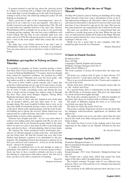It seemed natural to end the day when the cafeteria closed at 1:30pm, so everybody left at 2.00pm. Our plan had been to work until 4pm. Lovely thoughts go to the lady from Egeskov, coming to look at lace, but ended up taking her jacket off and helping us cleaning up.

Such a good day in spite of the renovating-mess , have inspired us to set a date for a new get-together , this time in a freshly restored room, and the date is September 25th. We will tat and make lace together between 9 am. and 2 pm. Kirsten Wind Hansen will be available for us, as she is very good both at tatting and lace making. She also has a nice exhibition, well worth visiting. Put the date in your calendar right now and come visit us at I.P.S. We will put up posters in the centers and have a note in the news paper when time comes, like we did last time.

We make lace every Friday between 9 am. and 2 pm. in I.P.Schmidts Gård, and everybody is welcome to participate. You can come and try it out, or just have a look at what we are doing.

*Sincerely, Irismarie*

### **Bobbinlace get-together in Nyborg on Easter Thursday**

Is it possible to imagine an Easter vacation getting a better start than with 27 lace-loving woman from all over the country to meet in Nyborg Husflidsskole ?? I cannot. And even though twice cannot be regarded a tradition, the decision on a third meeting on Easter Thursday next year has been made, and that makes us able to talk about a tradition after all.

We seem to have found a good concept, and I enjoy this good idea, which sprung out of a cup of tea and a piece of cake on Slagelse Kniplemesse in 2013. The first of us arrived at 8.30 am. in order to make everything ready, and during the next hour, a steady stream of happy lace makers came in through the door. They came from Amager, Slagelse, Viborg, Mors, Hadsund and many other places.

There was lots of show and tell. Admired were both what was on people's pillows, and also what some of us had brought along. The most beautiful bobbins had a story on its own, just think of somebody having a sister on the other side of the fjord, which sends small packages with the most beautiful bobbins, just to please the receiver. Home baked was consumed until we could roll home, and coffee was brewed – one should think we had a coffee plantation.

Patterns were bought and sold – we are very strict when it comes to not selling copies, but originals only. We are also very straight about this in our Facebook group, which is the place where we meet on a day to day basis, in order to get help, guidance, and also for show - off and admiring, what we have made.

We enjoyed the home produced honey, homemade jam – and yes, we did also manage to make some lace –and chat until our jaw bones hurt. We had the fortune last year, that Lone Nielsen had donated a pattern to be distributed to the participants. The Kniplings-Festival had donated a pattern for us this year, and next year's pattern is – if not yet on the drawing board – about to be designed.

A couple of conditions have to be met though, in order to participate. One must be a member of our lace group on Facebook, one have to have a positive attitude, one have to enjoy the sharing of experiences with others, and at last, but not at least, one have to be able to stand lots of chatting.

> *Sincerely Susanne Andersen*

## **Class in finishing off by the use of 'Magic Threads'**

On May 9th I joined a class in Nyborg on finishing off by using Magic threads. I had once read a description of how to do it, but understood nothing at all. Therefore, when I saw the class advertized in December, I checked if I was free that week-end, and since I was, I hurried to sign up for the class. This was my first class hosted by our organization, but it will not be the last.

The class was excellent, we were so concentrated that one could hear a needle drop most of the time. When the day was over, we had learned to finish off by help of the Magic Threads, and our teacher had lost her voice. I am convinced that this is a technique I will use a lot.

Thank you for a good class in nice company with likeminded people from all over Denmark.

*Birgitte Hauslund*

### **12 harts in Danish Torchon**

By Kirsten Skov

Price 249 Dkr.

Languages: Danish, English and German Publisher: Forlaget Tunegarn 2015-06-15

ISBN: 978-87-995602-1-9

The book contains 12 hearts, all worked after the same templet.

All hearts are worked with 29 pairs of linen thread, 35/2. Gimp is used for 7 of the harts, and the other 5 are without.

There is an overall direction for the 12 harts and a templet at the end of the book.

All the harts have Old-Nordic or Germanic names, like for ex. 'Sif', 'Astrid' and 'Freja'.

As a special bonus, there is information on the meaning of the Old-Nordic or Germanic name. This gives the impression of a book worked thoroughly through.

The book also contains patterns of 11 different handles for the harts. Also these are worked with or without a gimp.

The grade of difficulty making the harts, is so varied that everybody can enjoy the book.

The harts are fairly big, about 25x25 cm.

The preface contains inspiration on how to use the harts, like for hangings, wall-decorations, application on blankets and pillows, etc.

The author invites you to try out other colors than the ones used in the book (red, white and green) and also to use other kinds of gimp.

The book has been 6 years in the making, and it has been important for the author to use 'Danish' Torchon for the lace making.

*By Annette Nielsen*

## **Kongressmappe Saarlouis 2015**

Deutscher Klöppelverband e. V.

May be purchased through www.deutscher-kloppelverband.de Price: 25,00 Euro

Language: German

Kongressmappe 2015 from Deutscher Klöppelverband has arrived.

The booklet has a spiral back, which had caused the back pages of the three units I brought home, to loosen.

The booklet contains 78 pages with 43 very different lace patterns. There are both patterns to be enlarged and patterns in the actual size.

The creativity in the different patterns show, that lace is art.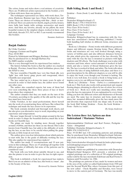The colors, forms and styles show a real mixture of creativity. There are 30 different artists represented in the booklet, a few of them with more than one pattern.

The techniques represented are Idria, with work sheet, Torchon, Duchesse, Russian tape lace, Cluny, Freehand lace and Lutac. There are choices of working with thin -, thick- or metal-thread. There are patterns for shawls, angels, jewelry, houses, stars, balls, hair bands, table settings, accessories and much more. And then, my favorite, already on my pillow, the most beautiful women in the simplest shapes, worked in linen- and half stitch, threads 35/3, 50/3 or 80/3. I can warmly recommend this booklet.

*Susanne Andersen*

## **Barjak Ombrée**

By Ulrike Voelcker

Language: German and English

Price: 40 EURO

Printed by Schürmann und Klagges, Bochum, Germany

May be purchased for ex. through Barbara Fay

No ISBN number available

This is a very thorough book for experienced lace makers.

The history behind the book is, that the author on a marked in Barjak , Province, found three black bobbinlace pieces, that she HAD to own.

The lace resembles Chantilly lace: very fine black silk, very 'light' lace with heavy gimp, picots and roseground, where Chantilly uses netground.

The lace ended up in a drawer for many years. In spite of research in order to find similar lace, the author never found any other ones.

The author also consulted experts, but none of them had ever seen something like these three pieces of lace or knew from where they originated.

The author assumes that they are made on the turn of the 19.century, according to the quality of the silk and the way the lace must have been used.

Ulrike Voelcker, in her usual perfectionism, threw herself into the work of reconstructing these old laces. She refined the technique and made the lace clearer in its expression.

The book contains detailed and thorough work sheets, and she also gives you alternative ways to work, depending on your experience and temperament.

She uses 'magic threads' to lead the gimps around in the lace work in order to shape the beautiful motives, much like in her books on Chantilly lace.

The gimps are made by winding more threads together around a bobbin, and then use these as one thread. This is also known from Chantilly lace, but adds to the difficulty of working the lace, as one have to be careful when pulling the gimpthreads, so little loops do not form.

The author gives you clear information about which patterns to start with, due to the grade of difficulty working the lace. This also applies for experienced lace makers!

The author has made 15 reconstructions and 19 new patterns in this technique. There are 47 prickings all together with different grades of difficulty, but none of the patterns can be considered 'easy'.

The book tells you both about suitable thread to use, and also the pinsize to use in order to give the lace its right expression.

This book is definitely a book for experienced lace makers. But if you are an admirer of fine lace, this book is a 'must' , due to the beauty of the lace.

*Reviewed by Annette Nielsen*

## **Halb Schlag, Book 1 and Book 2**

Struktur – Form (book 1) and Struktur – Form –Farbe (book 2)

Publisher:

Deutscher Klöppelverband e.V. ISBN: Book 1: 978-3-934210-93-6

ISBN: Book 2: 978-3-934210-94-3

Price: Euro 38 for book 1

Price: Euro 33 for book 2

Price: Euro 50 for book 1 & 2

Language: German

Deutscher Klöppelverband has in connection with the German lace association's Annual Meeting, published 2 books, both handling half stitches in different forms, structures and colors.

Book no.1 (Struktur – Form) works with different geometric shapes and different organic flowing forms. These different forms and structures are very well worked through, using a variety of bobbin pairs and also different distances between the pins, which gives the expression of the lace diversity. The same with the way the lace is mounted as pictures with light, shadows and 3D effects. The book challenges you to play with structure and form, where varied amounts of workers in halfstitch, and also a variety of thread thicknesses gives the lace life. The lace is worked in black and white. The book tells when and how the idea of using halfstitch took place and there is a good description by the different chapters, so you will be able to enjoy the book, even though your German is lacking. The book is very well done. It is surely a book to bring home, as it inspires you to try out different forms and structures.

Book no.2 (Struktur – Form – Farbe) is a continuation of book no.1. This book also works with geometrical and organic flowing shapes, obtaining its effects by use of colors. See review of book no.1. Book no.2 really uses smashing colors, which gives the lace its expression. It is an explanation by every form, telling you how the different colors and thicknesses of threads are used. The same lace in structure and form, made more times, but mounted differently, gives the lace much more life and diversity than expected from one shape only. If you buy the book Half Schlag, Struktur – Form, the book Struktur – Form – Farbe is a 'must'.

*By Sonja Andersen* 

### **Die Letzten ihrer Art, Spitzen aus dem Sudetenland / Marianne Nielsen**

Spitzenmanifaktur Edeltraut und Karl Forster, Pechgrün – Aalen – Abtsgmünd

Publisher: Deutscher Klöppelverband e. V.

ISBN: 978-3-934210-92-9

Prize: 39 EURO incl. CD containing patterns and prickings. May be purchased from Deutscher Klöppelverband. Information about ordering the book can be found on following home page:

http://www.deutscher-kloeppelverband.de/index.php/component/jshopping/category/view/1?ltemid=242

Language: German

The book, which was published in connection with Deutscher Klöppelverband Kongress 2015, presents a selection of 80 original prickings out of a collection of 350 original prickings, earlier sold by the lace merchants Edeltraut and Karl Forster's business until November 1st, 1986.

The prickings are patterns of lace, made by women and men in the area of the earlier so called Sudetenland, from 1920 and past the Second World War, where Germans from this part of the now called Check Republic and Slovakia, were forced to move to the eastern part of Germany. The lace was mostly